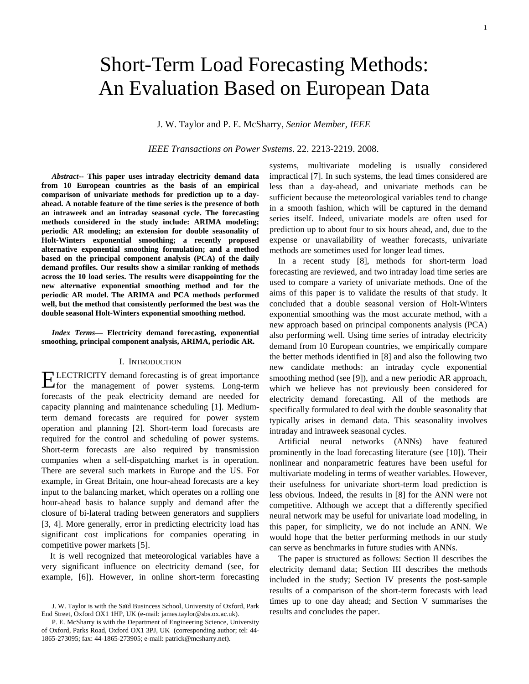# Short-Term Load Forecasting Methods: An Evaluation Based on European Data

J. W. Taylor and P. E. McSharry, *Senior Member, IEEE* 

*IEEE Transactions on Power Systems*, 22, 2213-2219, 2008.

*Abstract***-- This paper uses intraday electricity demand data from 10 European countries as the basis of an empirical comparison of univariate methods for prediction up to a dayahead. A notable feature of the time series is the presence of both an intraweek and an intraday seasonal cycle. The forecasting methods considered in the study include: ARIMA modeling; periodic AR modeling; an extension for double seasonality of Holt-Winters exponential smoothing; a recently proposed alternative exponential smoothing formulation; and a method based on the principal component analysis (PCA) of the daily demand profiles. Our results show a similar ranking of methods across the 10 load series. The results were disappointing for the new alternative exponential smoothing method and for the periodic AR model. The ARIMA and PCA methods performed well, but the method that consistently performed the best was the double seasonal Holt-Winters exponential smoothing method.** 

*Index Terms***— Electricity demand forecasting, exponential smoothing, principal component analysis, ARIMA, periodic AR.** 

# I. INTRODUCTION

LECTRICITY demand forecasting is of great importance ELECTRICITY demand forecasting is of great importance<br>
for the management of power systems. Long-term forecasts of the peak electricity demand are needed for capacity planning and maintenance scheduling [1]. Mediumterm demand forecasts are required for power system operation and planning [2]. Short-term load forecasts are required for the control and scheduling of power systems. Short-term forecasts are also required by transmission companies when a self-dispatching market is in operation. There are several such markets in Europe and the US. For example, in Great Britain, one hour-ahead forecasts are a key input to the balancing market, which operates on a rolling one hour-ahead basis to balance supply and demand after the closure of bi-lateral trading between generators and suppliers [3, 4]. More generally, error in predicting electricity load has significant cost implications for companies operating in competitive power markets [5].

It is well recognized that meteorological variables have a very significant influence on electricity demand (see, for example, [6]). However, in online short-term forecasting systems, multivariate modeling is usually considered impractical [7]. In such systems, the lead times considered are less than a day-ahead, and univariate methods can be sufficient because the meteorological variables tend to change in a smooth fashion, which will be captured in the demand series itself. Indeed, univariate models are often used for prediction up to about four to six hours ahead, and, due to the expense or unavailability of weather forecasts, univariate methods are sometimes used for longer lead times.

In a recent study [8], methods for short-term load forecasting are reviewed, and two intraday load time series are used to compare a variety of univariate methods. One of the aims of this paper is to validate the results of that study. It concluded that a double seasonal version of Holt-Winters exponential smoothing was the most accurate method, with a new approach based on principal components analysis (PCA) also performing well. Using time series of intraday electricity demand from 10 European countries, we empirically compare the better methods identified in [8] and also the following two new candidate methods: an intraday cycle exponential smoothing method (see [9]), and a new periodic AR approach, which we believe has not previously been considered for electricity demand forecasting. All of the methods are specifically formulated to deal with the double seasonality that typically arises in demand data. This seasonality involves intraday and intraweek seasonal cycles.

Artificial neural networks (ANNs) have featured prominently in the load forecasting literature (see [10]). Their nonlinear and nonparametric features have been useful for multivariate modeling in terms of weather variables. However, their usefulness for univariate short-term load prediction is less obvious. Indeed, the results in [8] for the ANN were not competitive. Although we accept that a differently specified neural network may be useful for univariate load modeling, in this paper, for simplicity, we do not include an ANN. We would hope that the better performing methods in our study can serve as benchmarks in future studies with ANNs.

The paper is structured as follows: Section II describes the electricity demand data; Section III describes the methods included in the study; Section IV presents the post-sample results of a comparison of the short-term forecasts with lead times up to one day ahead; and Section V summarises the results and concludes the paper.

J. W. Taylor is with the Saïd Busincess School, University of Oxford, Park End Street, Oxford OX1 1HP, UK (e-mail: [james.taylor@sbs.ox](mailto:james.taylor@sbs.ox).ac.uk).

P. E. McSharry is with the Department of Engineering Science, University of Oxford, Parks Road, Oxford OX1 3PJ, UK (corresponding author; tel: 44- 1865-273095; fax: 44-1865-273905; e-mail: patrick@mcsharry.net).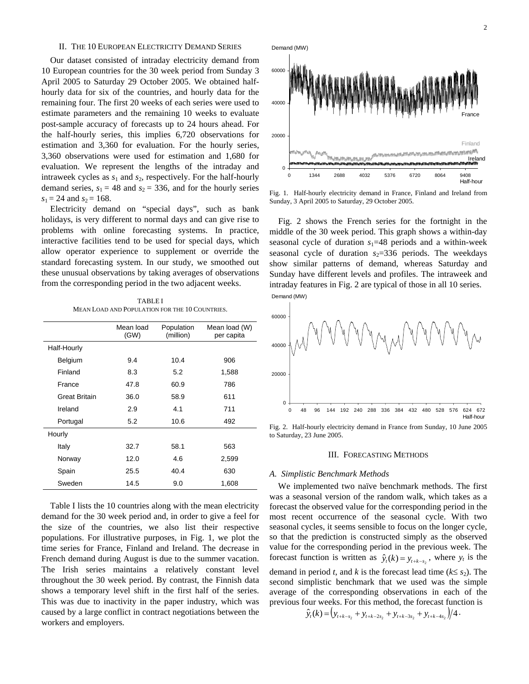## II. THE 10 EUROPEAN ELECTRICITY DEMAND SERIES

Our dataset consisted of intraday electricity demand from 10 European countries for the 30 week period from Sunday 3 April 2005 to Saturday 29 October 2005. We obtained halfhourly data for six of the countries, and hourly data for the remaining four. The first 20 weeks of each series were used to estimate parameters and the remaining 10 weeks to evaluate post-sample accuracy of forecasts up to 24 hours ahead. For the half-hourly series, this implies 6,720 observations for estimation and 3,360 for evaluation. For the hourly series, 3,360 observations were used for estimation and 1,680 for evaluation. We represent the lengths of the intraday and intraweek cycles as  $s_1$  and  $s_2$ , respectively. For the half-hourly demand series,  $s_1 = 48$  and  $s_2 = 336$ , and for the hourly series  $s_1 = 24$  and  $s_2 = 168$ .

Electricity demand on "special days", such as bank holidays, is very different to normal days and can give rise to problems with online forecasting systems. In practice, interactive facilities tend to be used for special days, which allow operator experience to supplement or override the standard forecasting system. In our study, we smoothed out these unusual observations by taking averages of observations from the corresponding period in the two adjacent weeks.

TABLE I MEAN LOAD AND POPULATION FOR THE 10 COUNTRIES.

|               | Mean load<br>(GW) | Population<br>(million) | Mean load (W)<br>per capita |
|---------------|-------------------|-------------------------|-----------------------------|
| Half-Hourly   |                   |                         |                             |
| Belgium       | 9.4               | 10.4                    | 906                         |
| Finland       | 8.3               | 5.2                     | 1,588                       |
| France        | 47.8              | 60.9                    | 786                         |
| Great Britain | 36.0              | 58.9                    | 611                         |
| Ireland       | 2.9               | 4.1                     | 711                         |
| Portugal      | 5.2               | 10.6                    | 492                         |
| Hourly        |                   |                         |                             |
| Italy         | 32.7              | 58.1                    | 563                         |
| Norway        | 12.0              | 4.6                     | 2,599                       |
| Spain         | 25.5              | 40.4                    | 630                         |
| Sweden        | 14.5              | 9.0                     | 1,608                       |

Table I lists the 10 countries along with the mean electricity demand for the 30 week period and, in order to give a feel for the size of the countries, we also list their respective populations. For illustrative purposes, in Fig. 1, we plot the time series for France, Finland and Ireland. The decrease in French demand during August is due to the summer vacation. The Irish series maintains a relatively constant level throughout the 30 week period. By contrast, the Finnish data shows a temporary level shift in the first half of the series. This was due to inactivity in the paper industry, which was caused by a large conflict in contract negotiations between the workers and employers.



Fig. 1. Half-hourly electricity demand in France, Finland and Ireland from Sunday, 3 April 2005 to Saturday, 29 October 2005.

Fig. 2 shows the French series for the fortnight in the middle of the 30 week period. This graph shows a within-day seasonal cycle of duration  $s_1$ =48 periods and a within-week seasonal cycle of duration  $s_2$ =336 periods. The weekdays show similar patterns of demand, whereas Saturday and Sunday have different levels and profiles. The intraweek and intraday features in Fig. 2 are typical of those in all 10 series. Demand (MW)



Fig. 2. Half-hourly electricity demand in France from Sunday, 10 June 2005 to Saturday, 23 June 2005.

#### III. FORECASTING METHODS

## *A. Simplistic Benchmark Methods*

We implemented two naïve benchmark methods. The first was a seasonal version of the random walk, which takes as a forecast the observed value for the corresponding period in the most recent occurrence of the seasonal cycle. With two seasonal cycles, it seems sensible to focus on the longer cycle, so that the prediction is constructed simply as the observed value for the corresponding period in the previous week. The forecast function is written as  $\hat{y}_t(k) = y_{t+k-s_2}$ , where  $y_t$  is the demand in period *t*, and *k* is the forecast lead time ( $k \leq s_2$ ). The second simplistic benchmark that we used was the simple average of the corresponding observations in each of the previous four weeks. For this method, the forecast function is

$$
\hat{y}_t(k) = \left( y_{t+k-s_2} + y_{t+k-2s_2} + y_{t+k-3s_2} + y_{t+k-4s_2} \right) / 4.
$$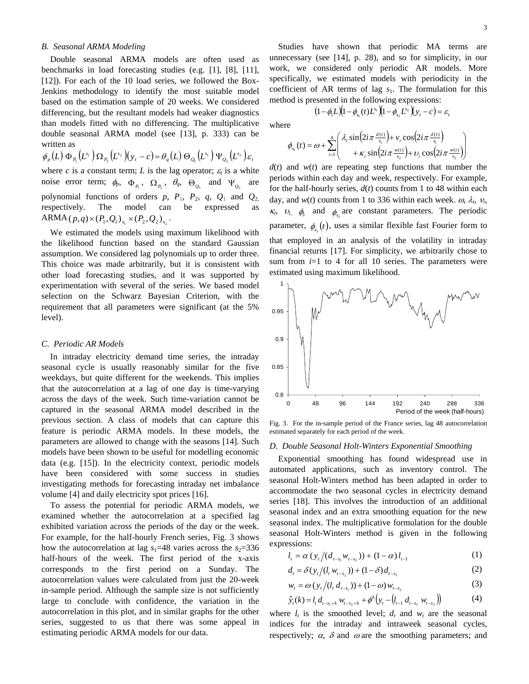## *B. Seasonal ARMA Modeling*

Double seasonal ARMA models are often used as benchmarks in load forecasting studies (e.g. [1], [8], [11], [12]). For each of the 10 load series, we followed the Box-Jenkins methodology to identify the most suitable model based on the estimation sample of 20 weeks. We considered differencing, but the resultant models had weaker diagnostics than models fitted with no differencing. The multiplicative double seasonal ARMA model (see [13], p. 333) can be written as

 $\phi_p(L) \Phi_{P_1}(L^{s_1}) \Omega_{P_2}(L^{s_2}) (y_t - c) = \theta_q(L) \Theta_{Q_1}(L^{s_1}) \Psi_{Q_2}(L^{s_2}) \varepsilon_q$ where *c* is a constant term; *L* is the lag operator;  $\varepsilon_t$  is a white noise error term;  $\phi_p$ ,  $\Phi_{P_1}$ ,  $\Omega_{P_2}$ ,  $\theta_q$ ,  $\Theta_{Q_1}$  and  $\Psi_{Q_2}$  are polynomial functions of orders  $p$ ,  $P_1$ ,  $P_2$ ,  $q$ ,  $Q_1$  and  $Q_2$ , respectively. The model can be expressed as  $ARMA(p,q)\times (P_1,Q_1)_{s_1}\times (P_2,Q_2)_{s_2}$ .

We estimated the models using maximum likelihood with the likelihood function based on the standard Gaussian assumption. We considered lag polynomials up to order three. This choice was made arbitrarily, but it is consistent with other load forecasting studies, and it was supported by experimentation with several of the series. We based model selection on the Schwarz Bayesian Criterion, with the requirement that all parameters were significant (at the 5% level).

## *C. Periodic AR Models*

In intraday electricity demand time series, the intraday seasonal cycle is usually reasonably similar for the five weekdays, but quite different for the weekends. This implies that the autocorrelation at a lag of one day is time-varying across the days of the week. Such time-variation cannot be captured in the seasonal ARMA model described in the previous section. A class of models that can capture this feature is periodic ARMA models. In these models, the parameters are allowed to change with the seasons [14]. Such models have been shown to be useful for modelling economic data (e.g. [15]). In the electricity context, periodic models have been considered with some success in studies investigating methods for forecasting intraday net imbalance volume [4] and daily electricity spot prices [16].

To assess the potential for periodic ARMA models, we examined whether the autocorrelation at a specified lag exhibited variation across the periods of the day or the week. For example, for the half-hourly French series, Fig. 3 shows how the autocorrelation at lag  $s_1=48$  varies across the  $s_2=336$ half-hours of the week. The first period of the x-axis corresponds to the first period on a Sunday. The autocorrelation values were calculated from just the 20-week in-sample period. Although the sample size is not sufficiently large to conclude with confidence, the variation in the autocorrelation in this plot, and in similar graphs for the other series, suggested to us that there was some appeal in estimating periodic ARMA models for our data.

Studies have shown that periodic MA terms are unnecessary (see [14], p. 28), and so for simplicity, in our work, we considered only periodic AR models. More specifically, we estimated models with periodicity in the coefficient of AR terms of lag  $s<sub>1</sub>$ . The formulation for this method is presented in the following expressions:

$$
(1-\phi_{1}L)(1-\phi_{_{S_{1}}}(t)L^{_{S_{1}}})(1-\phi_{_{S_{2}}}L^{_{S_{2}}})(y_{_{t}}-c)=\varepsilon_{_{t}}
$$

where

$$
\phi_{s_1}(t) = \omega + \sum_{i=1}^{4} \left( \frac{\lambda_i \sin(2i\pi \frac{d(t)}{s_1}) + v_i \cos(2i\pi \frac{d(t)}{s_1})}{1 + \kappa_i \sin(2i\pi \frac{w(t)}{s_2}) + v_i \cos(2i\pi \frac{w(t)}{s_2})} \right)
$$

 $d(t)$  and  $w(t)$  are repeating step functions that number the periods within each day and week, respectively. For example, for the half-hourly series, *d*(*t*) counts from 1 to 48 within each day, and  $w(t)$  counts from 1 to 336 within each week.  $\omega$ ,  $\lambda_i$ ,  $v_i$ ,  $\kappa_i$ ,  $v_i$ ,  $\phi_1$  and  $\phi_s$  are constant parameters. The periodic parameter,  $\phi_{\varepsilon}(t)$ , uses a similar flexible fast Fourier form to that employed in an analysis of the volatility in intraday financial returns [17]. For simplicity, we arbitrarily chose to sum from  $i=1$  to 4 for all 10 series. The parameters were estimated using maximum likelihood.



Fig. 3. For the in-sample period of the France series, lag 48 autocorrelation estimated separately for each period of the week.

## *D. Double Seasonal Holt-Winters Exponential Smoothing*

Exponential smoothing has found widespread use in automated applications, such as inventory control. The seasonal Holt-Winters method has been adapted in order to accommodate the two seasonal cycles in electricity demand series [18]. This involves the introduction of an additional seasonal index and an extra smoothing equation for the new seasonal index. The multiplicative formulation for the double seasonal Holt-Winters method is given in the following expressions:

$$
l_{t} = \alpha \left( y_{t} / (d_{t-s_{1}} w_{t-s_{2}}) \right) + (1 - \alpha) l_{t-1}
$$
 (1)

$$
d_{t} = \delta(y_{t}/(l_{t} w_{t-s_{2}})) + (1-\delta)d_{t-s_{1}} \tag{2}
$$

$$
w_t = \omega (y_t / (l_t d_{t-s_1})) + (1 - \omega) w_{t-s_2}
$$
 (3)

$$
\hat{y}_t(k) = l_t d_{t-s_1+k} w_{t-s_2+k} + \phi^k \left( y_t - \left( l_{t-1} d_{t-s_1} w_{t-s_2} \right) \right)
$$
(4)

where  $l_t$  is the smoothed level;  $d_t$  and  $w_t$  are the seasonal indices for the intraday and intraweek seasonal cycles, respectively;  $\alpha$ ,  $\delta$  and  $\omega$  are the smoothing parameters; and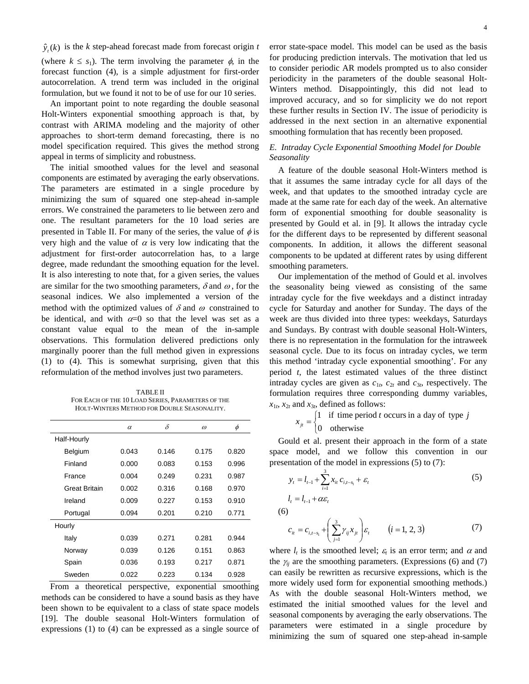$\hat{y}_i(k)$  is the *k* step-ahead forecast made from forecast origin *t* (where  $k \leq s_1$ ). The term involving the parameter  $\phi$ , in the forecast function (4), is a simple adjustment for first-order autocorrelation. A trend term was included in the original formulation, but we found it not to be of use for our 10 series.

An important point to note regarding the double seasonal Holt-Winters exponential smoothing approach is that, by contrast with ARIMA modeling and the majority of other approaches to short-term demand forecasting, there is no model specification required. This gives the method strong appeal in terms of simplicity and robustness.

The initial smoothed values for the level and seasonal components are estimated by averaging the early observations. The parameters are estimated in a single procedure by minimizing the sum of squared one step-ahead in-sample errors. We constrained the parameters to lie between zero and one. The resultant parameters for the 10 load series are presented in Table II. For many of the series, the value of  $\phi$  is very high and the value of  $\alpha$  is very low indicating that the adjustment for first-order autocorrelation has, to a large degree, made redundant the smoothing equation for the level. It is also interesting to note that, for a given series, the values are similar for the two smoothing parameters,  $\delta$  and  $\omega$ , for the seasonal indices. We also implemented a version of the method with the optimized values of  $\delta$  and  $\omega$  constrained to be identical, and with  $\alpha=0$  so that the level was set as a constant value equal to the mean of the in-sample observations. This formulation delivered predictions only marginally poorer than the full method given in expressions (1) to (4). This is somewhat surprising, given that this reformulation of the method involves just two parameters.

TABLE II FOR EACH OF THE 10 LOAD SERIES, PARAMETERS OF THE HOLT-WINTERS METHOD FOR DOUBLE SEASONALITY.

|               | $\alpha$ | $\delta$ | $\omega$ | $\phi$ |
|---------------|----------|----------|----------|--------|
| Half-Hourly   |          |          |          |        |
| Belgium       | 0.043    | 0.146    | 0.175    | 0.820  |
| Finland       | 0.000    | 0.083    | 0.153    | 0.996  |
| France        | 0.004    | 0.249    | 0.231    | 0.987  |
| Great Britain | 0.002    | 0.316    | 0.168    | 0.970  |
| Ireland       | 0.009    | 0.227    | 0.153    | 0.910  |
| Portugal      | 0.094    | 0.201    | 0.210    | 0.771  |
| Hourly        |          |          |          |        |
| Italy         | 0.039    | 0.271    | 0.281    | 0.944  |
| Norway        | 0.039    | 0.126    | 0.151    | 0.863  |
| Spain         | 0.036    | 0.193    | 0.217    | 0.871  |
| Sweden        | 0.022    | 0.223    | 0.134    | 0.928  |

From a theoretical perspective, exponential smoothing methods can be considered to have a sound basis as they have been shown to be equivalent to a class of state space models [19]. The double seasonal Holt-Winters formulation of expressions (1) to (4) can be expressed as a single source of error state-space model. This model can be used as the basis for producing prediction intervals. The motivation that led us to consider periodic AR models prompted us to also consider periodicity in the parameters of the double seasonal Holt-Winters method. Disappointingly, this did not lead to improved accuracy, and so for simplicity we do not report these further results in Section IV. The issue of periodicity is addressed in the next section in an alternative exponential smoothing formulation that has recently been proposed.

# *E. Intraday Cycle Exponential Smoothing Model for Double Seasonality*

A feature of the double seasonal Holt-Winters method is that it assumes the same intraday cycle for all days of the week, and that updates to the smoothed intraday cycle are made at the same rate for each day of the week. An alternative form of exponential smoothing for double seasonality is presented by Gould et al. in [9]. It allows the intraday cycle for the different days to be represented by different seasonal components. In addition, it allows the different seasonal components to be updated at different rates by using different smoothing parameters.

Our implementation of the method of Gould et al. involves the seasonality being viewed as consisting of the same intraday cycle for the five weekdays and a distinct intraday cycle for Saturday and another for Sunday. The days of the week are thus divided into three types: weekdays, Saturdays and Sundays. By contrast with double seasonal Holt-Winters, there is no representation in the formulation for the intraweek seasonal cycle. Due to its focus on intraday cycles, we term this method 'intraday cycle exponential smoothing'. For any period *t*, the latest estimated values of the three distinct intraday cycles are given as  $c_{1t}$ ,  $c_{2t}$  and  $c_{3t}$ , respectively. The formulation requires three corresponding dummy variables,  $x_{1t}$ ,  $x_{2t}$  and  $x_{3t}$ , defined as follows:

$$
x_{ji} = \begin{cases} 1 & \text{if time period } t \text{ occurs in a day of type } j \\ 0 & \text{otherwise} \end{cases}
$$

Gould et al. present their approach in the form of a state space model, and we follow this convention in our presentation of the model in expressions (5) to (7):

$$
y_{t} = l_{t-1} + \sum_{i=1}^{3} x_{it} c_{i,t-s_{i}} + \varepsilon_{t}
$$
 (5)

 $l_t = l_{t-1} + \alpha \varepsilon_t$ (6)

$$
c_{it} = c_{i,t-s_i} + \left(\sum_{j=1}^{3} \gamma_{ij} x_{jt}\right) \varepsilon_t \qquad (i = 1, 2, 3)
$$
 (7)

where  $l_t$  is the smoothed level;  $\varepsilon_t$  is an error term; and  $\alpha$  and the  $\gamma_{ii}$  are the smoothing parameters. (Expressions (6) and (7) can easily be rewritten as recursive expressions, which is the more widely used form for exponential smoothing methods.) As with the double seasonal Holt-Winters method, we estimated the initial smoothed values for the level and seasonal components by averaging the early observations. The parameters were estimated in a single procedure by minimizing the sum of squared one step-ahead in-sample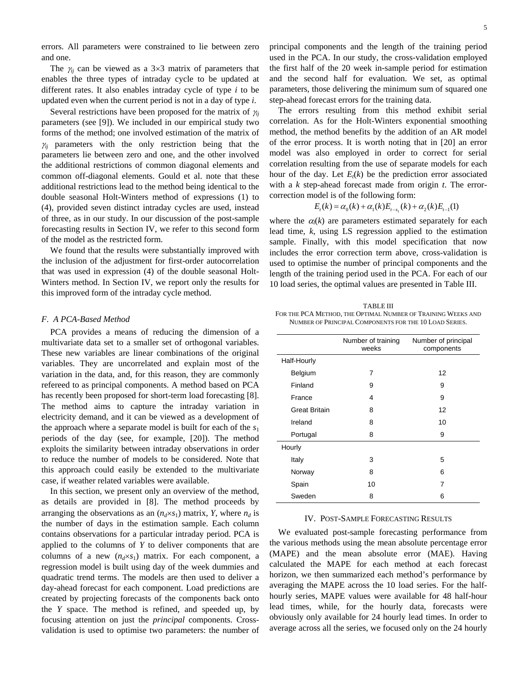errors. All parameters were constrained to lie between zero and one.

The  $\gamma_{ii}$  can be viewed as a 3×3 matrix of parameters that enables the three types of intraday cycle to be updated at different rates. It also enables intraday cycle of type *i* to be updated even when the current period is not in a day of type *i*.

Several restrictions have been proposed for the matrix of  $\gamma_{ij}$ parameters (see [9]). We included in our empirical study two forms of the method; one involved estimation of the matrix of  $\gamma_{ii}$  parameters with the only restriction being that the parameters lie between zero and one, and the other involved the additional restrictions of common diagonal elements and common off-diagonal elements. Gould et al. note that these additional restrictions lead to the method being identical to the double seasonal Holt-Winters method of expressions (1) to (4), provided seven distinct intraday cycles are used, instead of three, as in our study. In our discussion of the post-sample forecasting results in Section IV, we refer to this second form of the model as the restricted form.

We found that the results were substantially improved with the inclusion of the adjustment for first-order autocorrelation that was used in expression (4) of the double seasonal Holt-Winters method. In Section IV, we report only the results for this improved form of the intraday cycle method.

# *F. A PCA-Based Method*

PCA provides a means of reducing the dimension of a multivariate data set to a smaller set of orthogonal variables. These new variables are linear combinations of the original variables. They are uncorrelated and explain most of the variation in the data, and, for this reason, they are commonly refereed to as principal components. A method based on PCA has recently been proposed for short-term load forecasting [8]. The method aims to capture the intraday variation in electricity demand, and it can be viewed as a development of the approach where a separate model is built for each of the  $s_1$ periods of the day (see, for example, [20]). The method exploits the similarity between intraday observations in order to reduce the number of models to be considered. Note that this approach could easily be extended to the multivariate case, if weather related variables were available.

In this section, we present only an overview of the method, as details are provided in [8]. The method proceeds by arranging the observations as an  $(n_d \times s_1)$  matrix, *Y*, where  $n_d$  is the number of days in the estimation sample. Each column contains observations for a particular intraday period. PCA is applied to the columns of *Y* to deliver components that are columns of a new  $(n_d \times s_1)$  matrix. For each component, a regression model is built using day of the week dummies and quadratic trend terms. The models are then used to deliver a day-ahead forecast for each component. Load predictions are created by projecting forecasts of the components back onto the *Y* space. The method is refined, and speeded up, by focusing attention on just the *principal* components. Crossvalidation is used to optimise two parameters: the number of principal components and the length of the training period used in the PCA. In our study, the cross-validation employed the first half of the 20 week in-sample period for estimation and the second half for evaluation. We set, as optimal parameters, those delivering the minimum sum of squared one step-ahead forecast errors for the training data.

The errors resulting from this method exhibit serial correlation. As for the Holt-Winters exponential smoothing method, the method benefits by the addition of an AR model of the error process. It is worth noting that in [20] an error model was also employed in order to correct for serial correlation resulting from the use of separate models for each hour of the day. Let  $E_t(k)$  be the prediction error associated with a *k* step-ahead forecast made from origin *t*. The errorcorrection model is of the following form:

$$
E_{t}(k) = \alpha_{0}(k) + \alpha_{1}(k)E_{t-s_{1}}(k) + \alpha_{2}(k)E_{t-1}(1)
$$

where the  $\alpha_l(k)$  are parameters estimated separately for each lead time, *k*, using LS regression applied to the estimation sample. Finally, with this model specification that now includes the error correction term above, cross-validation is used to optimise the number of principal components and the length of the training period used in the PCA. For each of our 10 load series, the optimal values are presented in Table III.

TABLE III FOR THE PCA METHOD, THE OPTIMAL NUMBER OF TRAINING WEEKS AND NUMBER OF PRINCIPAL COMPONENTS FOR THE 10 LOAD SERIES.

|    | Number of principal         |  |
|----|-----------------------------|--|
|    | components                  |  |
|    |                             |  |
| 7  | 12                          |  |
| 9  | 9                           |  |
| 4  | 9                           |  |
| 8  | 12                          |  |
| 8  | 10                          |  |
| 8  | 9                           |  |
|    |                             |  |
| 3  | 5                           |  |
| 8  | 6                           |  |
| 10 | 7                           |  |
| 8  | 6                           |  |
|    | Number of training<br>weeks |  |

## IV. POST-SAMPLE FORECASTING RESULTS

We evaluated post-sample forecasting performance from the various methods using the mean absolute percentage error (MAPE) and the mean absolute error (MAE). Having calculated the MAPE for each method at each forecast horizon, we then summarized each method's performance by averaging the MAPE across the 10 load series. For the halfhourly series, MAPE values were available for 48 half-hour lead times, while, for the hourly data, forecasts were obviously only available for 24 hourly lead times. In order to average across all the series, we focused only on the 24 hourly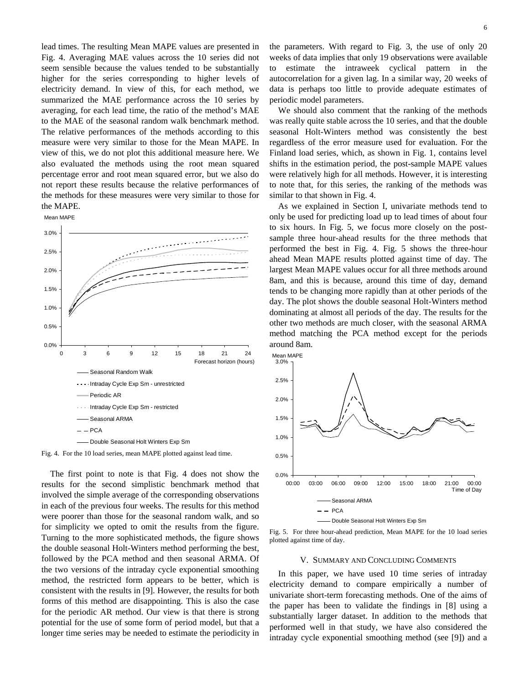lead times. The resulting Mean MAPE values are presented in Fig. 4. Averaging MAE values across the 10 series did not seem sensible because the values tended to be substantially higher for the series corresponding to higher levels of electricity demand. In view of this, for each method, we summarized the MAE performance across the 10 series by averaging, for each lead time, the ratio of the method's MAE to the MAE of the seasonal random walk benchmark method. The relative performances of the methods according to this measure were very similar to those for the Mean MAPE. In view of this, we do not plot this additional measure here. We also evaluated the methods using the root mean squared percentage error and root mean squared error, but we also do not report these results because the relative performances of the methods for these measures were very similar to those for the MAPE.





The first point to note is that Fig. 4 does not show the results for the second simplistic benchmark method that involved the simple average of the corresponding observations in each of the previous four weeks. The results for this method were poorer than those for the seasonal random walk, and so for simplicity we opted to omit the results from the figure. Turning to the more sophisticated methods, the figure shows the double seasonal Holt-Winters method performing the best, followed by the PCA method and then seasonal ARMA. Of the two versions of the intraday cycle exponential smoothing method, the restricted form appears to be better, which is consistent with the results in [9]. However, the results for both forms of this method are disappointing. This is also the case for the periodic AR method. Our view is that there is strong potential for the use of some form of period model, but that a longer time series may be needed to estimate the periodicity in the parameters. With regard to Fig. 3, the use of only 20 weeks of data implies that only 19 observations were available to estimate the intraweek cyclical pattern in the autocorrelation for a given lag. In a similar way, 20 weeks of data is perhaps too little to provide adequate estimates of periodic model parameters.

We should also comment that the ranking of the methods was really quite stable across the 10 series, and that the double seasonal Holt-Winters method was consistently the best regardless of the error measure used for evaluation. For the Finland load series, which, as shown in Fig. 1, contains level shifts in the estimation period, the post-sample MAPE values were relatively high for all methods. However, it is interesting to note that, for this series, the ranking of the methods was similar to that shown in Fig. 4.

As we explained in Section I, univariate methods tend to only be used for predicting load up to lead times of about four to six hours. In Fig. 5, we focus more closely on the postsample three hour-ahead results for the three methods that performed the best in Fig. 4. Fig. 5 shows the three-hour ahead Mean MAPE results plotted against time of day. The largest Mean MAPE values occur for all three methods around 8am, and this is because, around this time of day, demand tends to be changing more rapidly than at other periods of the day. The plot shows the double seasonal Holt-Winters method dominating at almost all periods of the day. The results for the other two methods are much closer, with the seasonal ARMA method matching the PCA method except for the periods



Fig. 5. For three hour-ahead prediction, Mean MAPE for the 10 load series plotted against time of day.

## V. SUMMARY AND CONCLUDING COMMENTS

In this paper, we have used 10 time series of intraday electricity demand to compare empirically a number of univariate short-term forecasting methods. One of the aims of the paper has been to validate the findings in [8] using a substantially larger dataset. In addition to the methods that performed well in that study, we have also considered the intraday cycle exponential smoothing method (see [9]) and a